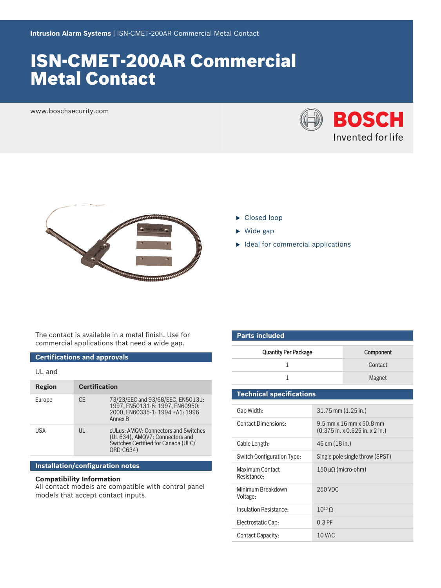# ISN‑CMET‑200AR Commercial Metal Contact

www.boschsecurity.com





- $\blacktriangleright$  Closed loop
- $\triangleright$  Wide gap
- $\blacktriangleright$  Ideal for commercial applications

The contact is available in a metal finish. Use for commercial applications that need a wide gap.

## **Certifications and approvals**

|--|

| Region | <b>Certification</b> |                                                                                                                             |
|--------|----------------------|-----------------------------------------------------------------------------------------------------------------------------|
| Europe | <b>CE</b>            | 73/23/EEC and 93/68/EEC, EN50131:<br>1997, EN50131-6: 1997, EN60950:<br>2000. EN60335-1: 1994 +A1: 1996<br>Annex B          |
| USA    | UL                   | cULus: AMQV: Connectors and Switches<br>(UL 634), AMQV7: Connectors and<br>Switches Certified for Canada (ULC/<br>ORD-C634) |

#### **Installation/configuration notes**

### **Compatibility Information**

All contact models are compatible with control panel models that accept contact inputs.

| <b>Parts included</b>           |                     |                                                               |  |  |
|---------------------------------|---------------------|---------------------------------------------------------------|--|--|
| <b>Quantity Per Package</b>     | Component           |                                                               |  |  |
| 1                               |                     | Contact                                                       |  |  |
| $\mathbf{1}$                    |                     | Magnet                                                        |  |  |
| <b>Technical specifications</b> |                     |                                                               |  |  |
| Gap Width:                      | 31.75 mm (1.25 in.) |                                                               |  |  |
| <b>Contact Dimensions:</b>      |                     | 9.5 mm x 16 mm x 50.8 mm<br>$(0.375$ in. x 0.625 in. x 2 in.) |  |  |
| Cable Length:                   | 46 cm (18 in.)      |                                                               |  |  |
| Switch Configuration Type:      |                     | Single pole single throw (SPST)                               |  |  |
| Maximum Contact<br>Resistance:  | 150 μΩ (micro-ohm)  |                                                               |  |  |
| Minimum Breakdown<br>Voltage:   | 250 VDC             |                                                               |  |  |
| Insulation Resistance:          | $10^{10}$ O         |                                                               |  |  |
| Electrostatic Cap:              | $0.3$ PF            |                                                               |  |  |
| Contact Capacity:               | 10 VAC              |                                                               |  |  |